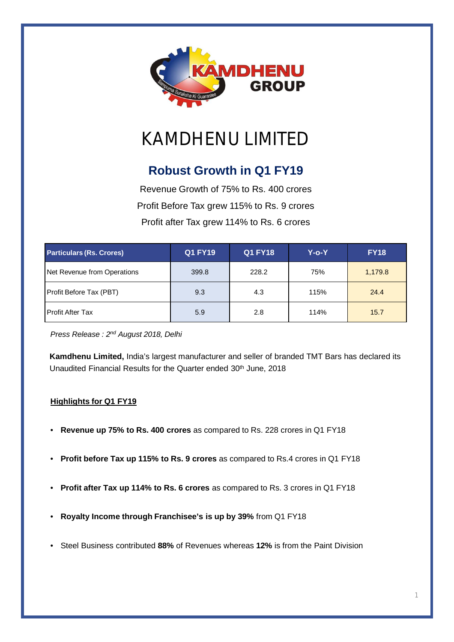

# KAMDHENU LIMITED

# **Robust Growth in Q1 FY19**

Revenue Growth of 75% to Rs. 400 crores Profit Before Tax grew 115% to Rs. 9 crores Profit after Tax grew 114% to Rs. 6 crores

| <b>Particulars (Rs. Crores)</b> | <b>Q1 FY19</b> | <b>Q1 FY18</b> | Y-o-Y | <b>FY18</b> |
|---------------------------------|----------------|----------------|-------|-------------|
| Net Revenue from Operations     | 399.8          | 228.2          | 75%   | 1,179.8     |
| Profit Before Tax (PBT)         | 9.3            | 4.3            | 115%  | 24.4        |
| <b>Profit After Tax</b>         | 5.9            | 2.8            | 114%  | 15.7        |

*Press Release : 2 nd August 2018, Delhi*

**Kamdhenu Limited,** India's largest manufacturer and seller of branded TMT Bars has declared its Unaudited Financial Results for the Quarter ended 30<sup>th</sup> June, 2018

### **Highlights for Q1 FY19**

- **Revenue up 75% to Rs. 400 crores** as compared to Rs. 228 crores in Q1 FY18
- **Profit before Tax up 115% to Rs. 9 crores** as compared to Rs.4 crores in Q1 FY18
- **Profit after Tax up 114% to Rs. 6 crores** as compared to Rs. 3 crores in Q1 FY18
- **Royalty Income through Franchisee's is up by 39%** from Q1 FY18
- Steel Business contributed **88%** of Revenues whereas **12%** is from the Paint Division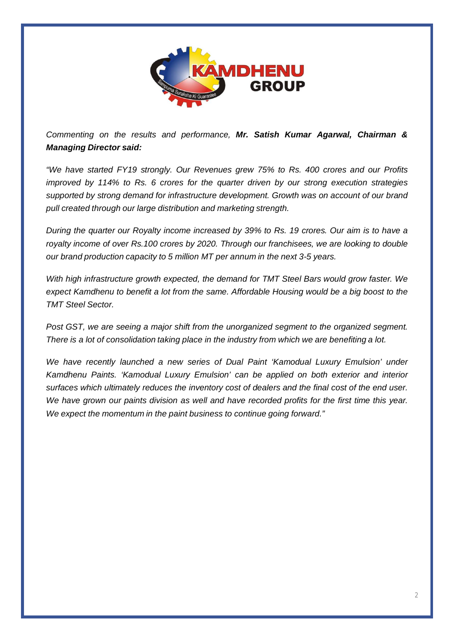

*Commenting on the results and performance, Mr. Satish Kumar Agarwal, Chairman & Managing Director said:*

*"We have started FY19 strongly. Our Revenues grew 75% to Rs. 400 crores and our Profits improved by 114% to Rs. 6 crores for the quarter driven by our strong execution strategies supported by strong demand for infrastructure development. Growth was on account of our brand pull created through our large distribution and marketing strength.*

During the quarter our Royalty income increased by 39% to Rs. 19 crores. Our aim is to have a *royalty income of over Rs.100 crores by 2020. Through our franchisees, we are looking to double our brand production capacity to 5 million MT per annum in the next 3-5 years.*

*With high infrastructure growth expected, the demand for TMT Steel Bars would grow faster. We expect Kamdhenu to benefit a lot from the same. Affordable Housing would be a big boost to the TMT Steel Sector.*

*Post GST, we are seeing a major shift from the unorganized segment to the organized segment. There is a lot of consolidation taking place in the industry from which we are benefiting a lot.*

*We have recently launched a new series of Dual Paint 'Kamodual Luxury Emulsion' under Kamdhenu Paints. 'Kamodual Luxury Emulsion' can be applied on both exterior and interior surfaces which ultimately reduces the inventory cost of dealers and the final cost of the end user. We have grown our paints division as well and have recorded profits for the first time this year. We expect the momentum in the paint business to continue going forward."*